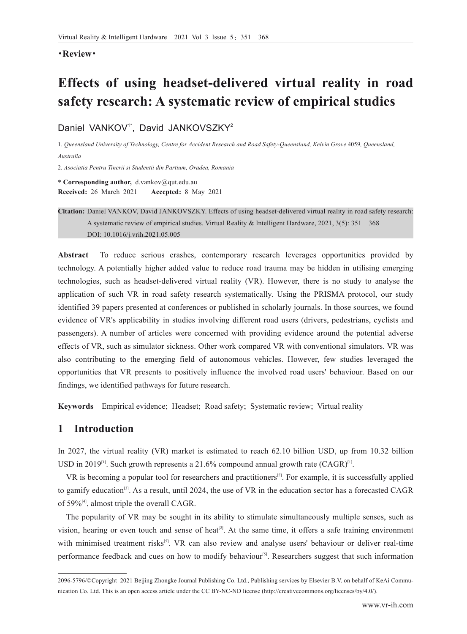### ·**Review**·

# **Effects of using headset-delivered virtual reality in road safety research: A systematic review of empirical studies**

Daniel VANKOV<sup>1\*</sup>, David JANKOVSZKY<sup>2</sup>

1*. Queensland University of Technology, Centre for Accident Research and Road Safety-Queensland, Kelvin Grove* 4059*, Queensland, Australia*

2*. Asociatia Pentru Tinerii si Studentii din Partium, Oradea, Romania*

**\* Corresponding author,** d.vankov@qut.edu.au **Received:** 26 March 2021 **Accepted:** 8 May 2021

**Citation:** Daniel VANKOV, David JANKOVSZKY. Effects of using headset-delivered virtual reality in road safety research: A systematic review of empirical studies. Virtual Reality & Intelligent Hardware, 2021, 3(5): 351—368 DOI: 10.1016/j.vrih.2021.05.005

**Abstract** To reduce serious crashes, contemporary research leverages opportunities provided by technology. A potentially higher added value to reduce road trauma may be hidden in utilising emerging technologies, such as headset-delivered virtual reality (VR). However, there is no study to analyse the application of such VR in road safety research systematically. Using the PRISMA protocol, our study identified 39 papers presented at conferences or published in scholarly journals. In those sources, we found evidence of VR's applicability in studies involving different road users (drivers, pedestrians, cyclists and passengers). A number of articles were concerned with providing evidence around the potential adverse effects of VR, such as simulator sickness. Other work compared VR with conventional simulators. VR was also contributing to the emerging field of autonomous vehicles. However, few studies leveraged the opportunities that VR presents to positively influence the involved road users' behaviour. Based on our findings, we identified pathways for future research.

**Keywords** Empirical evidence; Headset; Road safety; Systematic review; Virtual reality

# **1 Introduction**

In 2027, the virtual reality (VR) market is estimated to reach 62.10 billion USD, up from 10.32 billion USD in 2019<sup>[1]</sup>. Such growth represents a 21.6% compound annual growth rate  $(CAGR)^{[1]}$ .

VR is becoming a popular tool for researchers and practitioners<sup>[2]</sup>. For example, it is successfully applied to gamify education<sup>[3]</sup>. As a result, until 2024, the use of VR in the education sector has a forecasted CAGR of 59%<sup>[4]</sup>, almost triple the overall CAGR.

The popularity of VR may be sought in its ability to stimulate simultaneously multiple senses, such as vision, hearing or even touch and sense of heat<sup>[3]</sup>. At the same time, it offers a safe training environment with minimised treatment risks<sup>[5]</sup>. VR can also review and analyse users' behaviour or deliver real-time performance feedback and cues on how to modify behaviour<sup>[5]</sup>. Researchers suggest that such information

<sup>2096-5796/©</sup>Copyright 2021 Beijing Zhongke Journal Publishing Co. Ltd., Publishing services by Elsevier B.V. on behalf of KeAi Communication Co. Ltd. This is an open access article under the CC BY-NC-ND license (http://creativecommons.org/licenses/by/4.0/).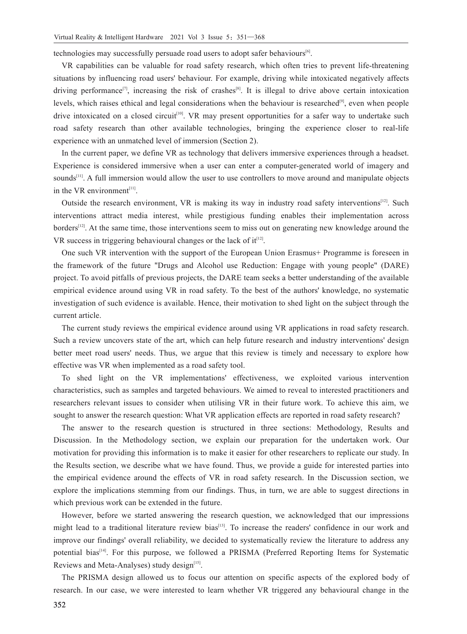technologies may successfully persuade road users to adopt safer behaviours<sup>[6]</sup>.

VR capabilities can be valuable for road safety research, which often tries to prevent life-threatening situations by influencing road users' behaviour. For example, driving while intoxicated negatively affects driving performance<sup>[7]</sup>, increasing the risk of crashes<sup>[8]</sup>. It is illegal to drive above certain intoxication levels, which raises ethical and legal considerations when the behaviour is researched<sup>[9]</sup>, even when people drive intoxicated on a closed circuit<sup>[10]</sup>. VR may present opportunities for a safer way to undertake such road safety research than other available technologies, bringing the experience closer to real-life experience with an unmatched level of immersion (Section 2).

In the current paper, we define VR as technology that delivers immersive experiences through a headset. Experience is considered immersive when a user can enter a computer-generated world of imagery and sounds<sup>[11]</sup>. A full immersion would allow the user to use controllers to move around and manipulate objects in the VR environment $[11]$ .

Outside the research environment, VR is making its way in industry road safety interventions<sup>[12]</sup>. Such interventions attract media interest, while prestigious funding enables their implementation across borders<sup>[12]</sup>. At the same time, those interventions seem to miss out on generating new knowledge around the VR success in triggering behavioural changes or the lack of  $it^{[12]}$ .

One such VR intervention with the support of the European Union Erasmus+ Programme is foreseen in the framework of the future "Drugs and Alcohol use Reduction: Engage with young people" (DARE) project. To avoid pitfalls of previous projects, the DARE team seeks a better understanding of the available empirical evidence around using VR in road safety. To the best of the authors' knowledge, no systematic investigation of such evidence is available. Hence, their motivation to shed light on the subject through the current article.

The current study reviews the empirical evidence around using VR applications in road safety research. Such a review uncovers state of the art, which can help future research and industry interventions' design better meet road users' needs. Thus, we argue that this review is timely and necessary to explore how effective was VR when implemented as a road safety tool.

To shed light on the VR implementations' effectiveness, we exploited various intervention characteristics, such as samples and targeted behaviours. We aimed to reveal to interested practitioners and researchers relevant issues to consider when utilising VR in their future work. To achieve this aim, we sought to answer the research question: What VR application effects are reported in road safety research?

The answer to the research question is structured in three sections: Methodology, Results and Discussion. In the Methodology section, we explain our preparation for the undertaken work. Our motivation for providing this information is to make it easier for other researchers to replicate our study. In the Results section, we describe what we have found. Thus, we provide a guide for interested parties into the empirical evidence around the effects of VR in road safety research. In the Discussion section, we explore the implications stemming from our findings. Thus, in turn, we are able to suggest directions in which previous work can be extended in the future.

However, before we started answering the research question, we acknowledged that our impressions might lead to a traditional literature review bias<sup>[13]</sup>. To increase the readers' confidence in our work and improve our findings' overall reliability, we decided to systematically review the literature to address any potential bias<sup>[14]</sup>. For this purpose, we followed a PRISMA (Preferred Reporting Items for Systematic Reviews and Meta-Analyses) study design<sup>[15]</sup>.

The PRISMA design allowed us to focus our attention on specific aspects of the explored body of research. In our case, we were interested to learn whether VR triggered any behavioural change in the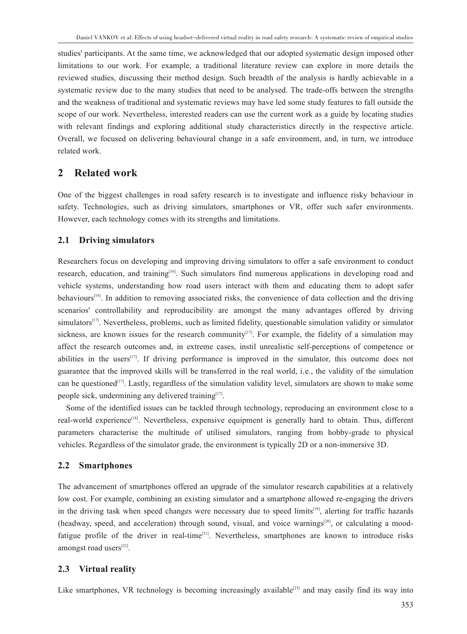studies' participants. At the same time, we acknowledged that our adopted systematic design imposed other limitations to our work. For example, a traditional literature review can explore in more details the reviewed studies, discussing their method design. Such breadth of the analysis is hardly achievable in a systematic review due to the many studies that need to be analysed. The trade-offs between the strengths and the weakness of traditional and systematic reviews may have led some study features to fall outside the scope of our work. Nevertheless, interested readers can use the current work as a guide by locating studies with relevant findings and exploring additional study characteristics directly in the respective article. Overall, we focused on delivering behavioural change in a safe environment, and, in turn, we introduce related work.

# **2 Related work**

One of the biggest challenges in road safety research is to investigate and influence risky behaviour in safety. Technologies, such as driving simulators, smartphones or VR, offer such safer environments. However, each technology comes with its strengths and limitations.

# **2.1 Driving simulators**

Researchers focus on developing and improving driving simulators to offer a safe environment to conduct research, education, and training<sup>[16]</sup>. Such simulators find numerous applications in developing road and vehicle systems, understanding how road users interact with them and educating them to adopt safer behaviours<sup>[16]</sup>. In addition to removing associated risks, the convenience of data collection and the driving scenarios' controllability and reproducibility are amongst the many advantages offered by driving simulators<sup>[17]</sup>. Nevertheless, problems, such as limited fidelity, questionable simulation validity or simulator sickness, are known issues for the research community<sup>[17]</sup>. For example, the fidelity of a simulation may affect the research outcomes and, in extreme cases, instil unrealistic self-perceptions of competence or abilities in the users<sup>[17]</sup>. If driving performance is improved in the simulator, this outcome does not guarantee that the improved skills will be transferred in the real world, i.e., the validity of the simulation can be questioned<sup>[17]</sup>. Lastly, regardless of the simulation validity level, simulators are shown to make some people sick, undermining any delivered training<sup>[17]</sup>.

Some of the identified issues can be tackled through technology, reproducing an environment close to a real-world experience<sup>[18]</sup>. Nevertheless, expensive equipment is generally hard to obtain. Thus, different parameters characterise the multitude of utilised simulators, ranging from hobby-grade to physical vehicles. Regardless of the simulator grade, the environment is typically 2D or a non-immersive 3D.

# **2.2 Smartphones**

The advancement of smartphones offered an upgrade of the simulator research capabilities at a relatively low cost. For example, combining an existing simulator and a smartphone allowed re-engaging the drivers in the driving task when speed changes were necessary due to speed limits<sup>[19]</sup>, alerting for traffic hazards (headway, speed, and acceleration) through sound, visual, and voice warnings<sup>[20]</sup>, or calculating a moodfatigue profile of the driver in real-time<sup>[21]</sup>. Nevertheless, smartphones are known to introduce risks amongst road users[22].

# **2.3 Virtual reality**

Like smartphones, VR technology is becoming increasingly available<sup>[23]</sup> and may easily find its way into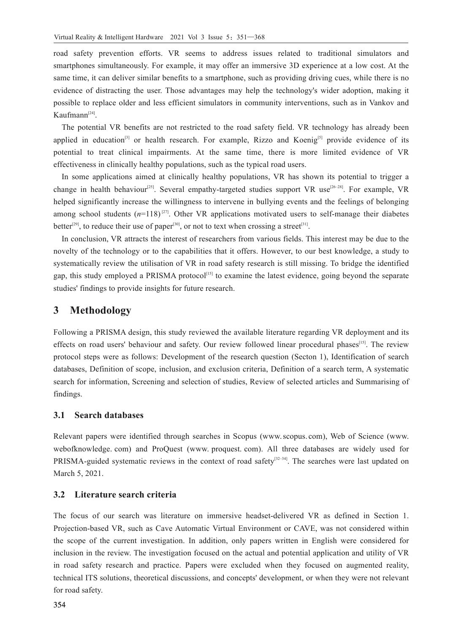road safety prevention efforts. VR seems to address issues related to traditional simulators and smartphones simultaneously. For example, it may offer an immersive 3D experience at a low cost. At the same time, it can deliver similar benefits to a smartphone, such as providing driving cues, while there is no evidence of distracting the user. Those advantages may help the technology's wider adoption, making it possible to replace older and less efficient simulators in community interventions, such as in Vankov and Kaufmann<sup>[24]</sup>.

The potential VR benefits are not restricted to the road safety field. VR technology has already been applied in education<sup>[3]</sup> or health research. For example, Rizzo and Koenig<sup>[5]</sup> provide evidence of its potential to treat clinical impairments. At the same time, there is more limited evidence of VR effectiveness in clinically healthy populations, such as the typical road users.

In some applications aimed at clinically healthy populations, VR has shown its potential to trigger a change in health behaviour<sup>[25]</sup>. Several empathy-targeted studies support VR use<sup>[26-28]</sup>. For example, VR helped significantly increase the willingness to intervene in bullying events and the feelings of belonging among school students  $(n=118)^{[27]}$ . Other VR applications motivated users to self-manage their diabetes better<sup>[29]</sup>, to reduce their use of paper<sup>[30]</sup>, or not to text when crossing a street<sup>[31]</sup>.

In conclusion, VR attracts the interest of researchers from various fields. This interest may be due to the novelty of the technology or to the capabilities that it offers. However, to our best knowledge, a study to systematically review the utilisation of VR in road safety research is still missing. To bridge the identified gap, this study employed a PRISMA protocol<sup>[15]</sup> to examine the latest evidence, going beyond the separate studies' findings to provide insights for future research.

# **3 Methodology**

Following a PRISMA design, this study reviewed the available literature regarding VR deployment and its effects on road users' behaviour and safety. Our review followed linear procedural phases<sup>[15]</sup>. The review protocol steps were as follows: Development of the research question (Secton 1), Identification of search databases, Definition of scope, inclusion, and exclusion criteria, Definition of a search term, A systematic search for information, Screening and selection of studies, Review of selected articles and Summarising of findings.

# **3.1 Search databases**

Relevant papers were identified through searches in Scopus (www.scopus. com), Web of Science (www. webofknowledge. com) and ProQuest (www. proquest. com). All three databases are widely used for PRISMA-guided systematic reviews in the context of road safety $[32-34]$ . The searches were last updated on March 5, 2021.

# **3.2 Literature search criteria**

The focus of our search was literature on immersive headset-delivered VR as defined in Section 1. Projection-based VR, such as Cave Automatic Virtual Environment or CAVE, was not considered within the scope of the current investigation. In addition, only papers written in English were considered for inclusion in the review. The investigation focused on the actual and potential application and utility of VR in road safety research and practice. Papers were excluded when they focused on augmented reality, technical ITS solutions, theoretical discussions, and concepts' development, or when they were not relevant for road safety.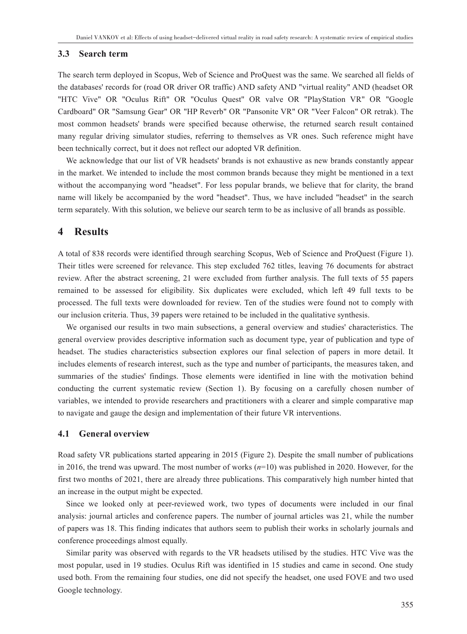### **3.3 Search term**

The search term deployed in Scopus, Web of Science and ProQuest was the same. We searched all fields of the databases' records for (road OR driver OR traffic) AND safety AND "virtual reality" AND (headset OR "HTC Vive" OR "Oculus Rift" OR "Oculus Quest" OR valve OR "PlayStation VR" OR "Google Cardboard" OR "Samsung Gear" OR "HP Reverb" OR "Pansonite VR" OR "Veer Falcon" OR retrak). The most common headsets' brands were specified because otherwise, the returned search result contained many regular driving simulator studies, referring to themselves as VR ones. Such reference might have been technically correct, but it does not reflect our adopted VR definition.

We acknowledge that our list of VR headsets' brands is not exhaustive as new brands constantly appear in the market. We intended to include the most common brands because they might be mentioned in a text without the accompanying word "headset". For less popular brands, we believe that for clarity, the brand name will likely be accompanied by the word "headset". Thus, we have included "headset" in the search term separately. With this solution, we believe our search term to be as inclusive of all brands as possible.

# **4 Results**

A total of 838 records were identified through searching Scopus, Web of Science and ProQuest (Figure 1). Their titles were screened for relevance. This step excluded 762 titles, leaving 76 documents for abstract review. After the abstract screening, 21 were excluded from further analysis. The full texts of 55 papers remained to be assessed for eligibility. Six duplicates were excluded, which left 49 full texts to be processed. The full texts were downloaded for review. Ten of the studies were found not to comply with our inclusion criteria. Thus, 39 papers were retained to be included in the qualitative synthesis.

We organised our results in two main subsections, a general overview and studies' characteristics. The general overview provides descriptive information such as document type, year of publication and type of headset. The studies characteristics subsection explores our final selection of papers in more detail. It includes elements of research interest, such as the type and number of participants, the measures taken, and summaries of the studies' findings. Those elements were identified in line with the motivation behind conducting the current systematic review (Section 1). By focusing on a carefully chosen number of variables, we intended to provide researchers and practitioners with a clearer and simple comparative map to navigate and gauge the design and implementation of their future VR interventions.

### **4.1 General overview**

Road safety VR publications started appearing in 2015 (Figure 2). Despite the small number of publications in 2016, the trend was upward. The most number of works (*n*=10) was published in 2020. However, for the first two months of 2021, there are already three publications. This comparatively high number hinted that an increase in the output might be expected.

Since we looked only at peer-reviewed work, two types of documents were included in our final analysis: journal articles and conference papers. The number of journal articles was 21, while the number of papers was 18. This finding indicates that authors seem to publish their works in scholarly journals and conference proceedings almost equally.

Similar parity was observed with regards to the VR headsets utilised by the studies. HTC Vive was the most popular, used in 19 studies. Oculus Rift was identified in 15 studies and came in second. One study used both. From the remaining four studies, one did not specify the headset, one used FOVE and two used Google technology.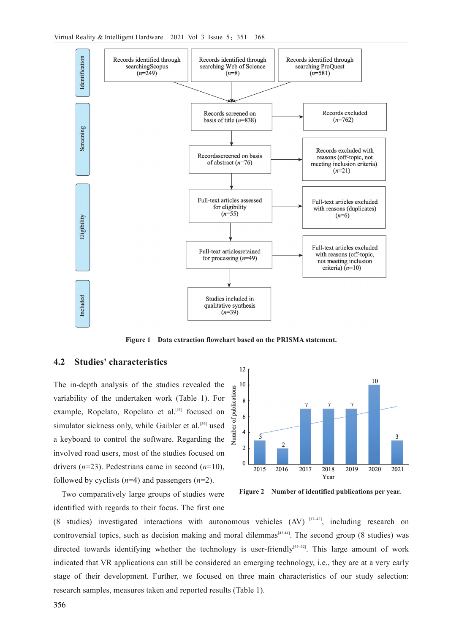

**Figure 1 Data extraction flowchart based on the PRISMA statement.**

# **4.2 Studies' characteristics**

The in-depth analysis of the studies revealed the variability of the undertaken work (Table 1). For example, Ropelato, Ropelato et al.<sup>[35]</sup> focused on simulator sickness only, while Gaibler et al.<sup>[36]</sup> used a keyboard to control the software. Regarding the involved road users, most of the studies focused on drivers (*n*=23). Pedestrians came in second (*n*=10), followed by cyclists (*n*=4) and passengers (*n*=2).

Two comparatively large groups of studies were identified with regards to their focus. The first one



**Figure 2 Number of identified publications per year.**

(8 studies) investigated interactions with autonomous vehicles  $(AV)^{[37-42]}$ , including research on controversial topics, such as decision making and moral dilemmas $[43,44]$ . The second group (8 studies) was directed towards identifying whether the technology is user-friendly<sup>[45–52]</sup>. This large amount of work indicated that VR applications can still be considered an emerging technology, i.e., they are at a very early stage of their development. Further, we focused on three main characteristics of our study selection: research samples, measures taken and reported results (Table 1).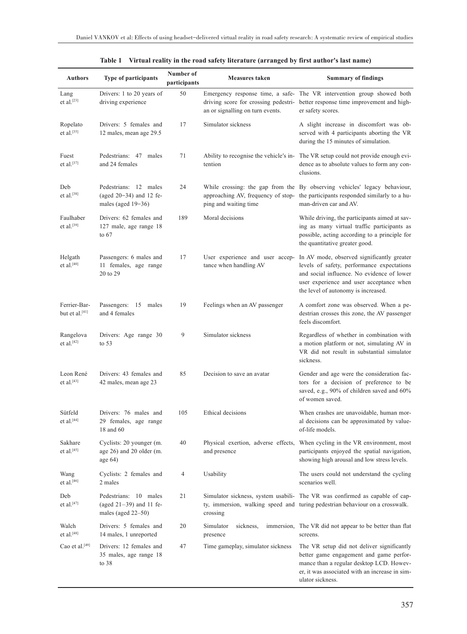| <b>Authors</b>                           | <b>Type of participants</b>                                                  | Number of<br>participants | <b>Measures taken</b>                                                    | <b>Summary of findings</b>                                                                                                                                                                                                                                |
|------------------------------------------|------------------------------------------------------------------------------|---------------------------|--------------------------------------------------------------------------|-----------------------------------------------------------------------------------------------------------------------------------------------------------------------------------------------------------------------------------------------------------|
| Lang<br>et al. $[23]$                    | Drivers: 1 to 20 years of<br>driving experience                              | 50                        | driving score for crossing pedestri-<br>an or signalling on turn events. | Emergency response time, a safe- The VR intervention group showed both<br>better response time improvement and high-<br>er safety scores.                                                                                                                 |
| Ropelato<br>et al.[35]                   | Drivers: 5 females and<br>12 males, mean age 29.5                            | 17                        | Simulator sickness                                                       | A slight increase in discomfort was ob-<br>served with 4 participants aborting the VR<br>during the 15 minutes of simulation.                                                                                                                             |
| Fuest<br>et al. $[37]$                   | Pedestrians: 47 males<br>and 24 females                                      | 71                        | tention                                                                  | Ability to recognise the vehicle's in- The VR setup could not provide enough evi-<br>dence as to absolute values to form any con-<br>clusions.                                                                                                            |
| Deb<br>et al.[38]                        | Pedestrians: 12 males<br>(aged $20-34$ ) and 12 fe-<br>males (aged 19-36)    | 24                        | ping and waiting time                                                    | While crossing: the gap from the By observing vehicles' legacy behaviour,<br>approaching AV, frequency of stop- the participants responded similarly to a hu-<br>man-driven car and AV.                                                                   |
| Faulhaber<br>et al. $[39]$               | Drivers: 62 females and<br>127 male, age range 18<br>to $67$                 | 189                       | Moral decisions                                                          | While driving, the participants aimed at sav-<br>ing as many virtual traffic participants as<br>possible, acting according to a principle for<br>the quantitative greater good.                                                                           |
| Helgath<br>et al. $[40]$                 | Passengers: 6 males and<br>11 females, age range<br>20 to 29                 | 17                        | tance when handling AV                                                   | User experience and user accep- In AV mode, observed significantly greater<br>levels of safety, performance expectations<br>and social influence. No evidence of lower<br>user experience and user acceptance when<br>the level of autonomy is increased. |
| Ferrier-Bar-<br>but et al.[41]           | Passengers: 15 males<br>and 4 females                                        | 19                        | Feelings when an AV passenger                                            | A comfort zone was observed. When a pe-<br>destrian crosses this zone, the AV passenger<br>feels discomfort.                                                                                                                                              |
| Rangelova<br>et al. $[42]$               | Drivers: Age range 30<br>to $53$                                             | 9                         | Simulator sickness                                                       | Regardless of whether in combination with<br>a motion platform or not, simulating AV in<br>VR did not result in substantial simulator<br>sickness.                                                                                                        |
| Leon René<br>et al. $[43]$               | Drivers: 43 females and<br>42 males, mean age 23                             | 85                        | Decision to save an avatar                                               | Gender and age were the consideration fac-<br>tors for a decision of preference to be<br>saved, e.g., 90% of children saved and 60%<br>of women saved.                                                                                                    |
| Sütfeld<br>et al. $^{\left[ 44\right] }$ | Drivers: 76 males and<br>29 females, age range<br>$18$ and $60\,$            | 105                       | Ethical decisions                                                        | When crashes are unavoidable, human mor-<br>al decisions can be approximated by value-<br>of-life models.                                                                                                                                                 |
| Sakhare<br>et al. <sup>[45]</sup>        | Cyclists: 20 younger (m.<br>age 26) and 20 older (m.<br>age $64)$            | 40                        | Physical exertion, adverse effects,<br>and presence                      | When cycling in the VR environment, most<br>participants enjoyed the spatial navigation,<br>showing high arousal and low stress levels.                                                                                                                   |
| Wang<br>et al. <sup>[46]</sup>           | Cyclists: 2 females and<br>2 males                                           | 4                         | Usability                                                                | The users could not understand the cycling<br>scenarios well.                                                                                                                                                                                             |
| Deb<br>et al. <sup>[47]</sup>            | Pedestrians: 10 males<br>(aged $21-39$ ) and 11 fe-<br>males (aged $22-50$ ) | 21                        | crossing                                                                 | Simulator sickness, system usabili- The VR was confirmed as capable of cap-<br>ty, immersion, walking speed and turing pedestrian behaviour on a crosswalk.                                                                                               |
| Walch<br>et al. <sup>[48]</sup>          | Drivers: 5 females and<br>14 males, 1 unreported                             | 20                        | Simulator<br>sickness,<br>presence                                       | immersion, The VR did not appear to be better than flat<br>screens.                                                                                                                                                                                       |
| Cao et al. <sup>[49]</sup>               | Drivers: 12 females and<br>35 males, age range 18<br>to $38$                 | 47                        | Time gameplay, simulator sickness                                        | The VR setup did not deliver significantly<br>better game engagement and game perfor-<br>mance than a regular desktop LCD. Howev-<br>er, it was associated with an increase in sim-<br>ulator sickness.                                                   |

|  | Table 1 Virtual reality in the road safety literature (arranged by first author's last name) |  |
|--|----------------------------------------------------------------------------------------------|--|
|  |                                                                                              |  |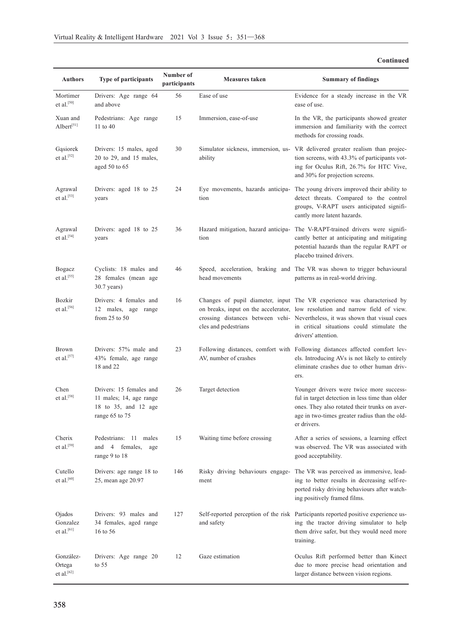| <b>Authors</b>                               | <b>Type of participants</b>                                                                    | Number of<br>participants | <b>Measures taken</b>                    | <b>Summary of findings</b>                                                                                                                                                                                                                                                                                    |
|----------------------------------------------|------------------------------------------------------------------------------------------------|---------------------------|------------------------------------------|---------------------------------------------------------------------------------------------------------------------------------------------------------------------------------------------------------------------------------------------------------------------------------------------------------------|
| Mortimer<br>et al. $^{[50]}$                 | Drivers: Age range 64<br>and above                                                             | 56                        | Ease of use                              | Evidence for a steady increase in the VR<br>ease of use.                                                                                                                                                                                                                                                      |
| Xuan and<br>Albert <sup>[51]</sup>           | Pedestrians: Age range<br>11 to 40                                                             | 15                        | Immersion, ease-of-use                   | In the VR, the participants showed greater<br>immersion and familiarity with the correct<br>methods for crossing roads.                                                                                                                                                                                       |
| Gąsiorek<br>et al. $^{[52]}$                 | Drivers: 15 males, aged<br>20 to 29, and 15 males,<br>aged $50$ to $65$                        | 30                        | ability                                  | Simulator sickness, immersion, us- VR delivered greater realism than projec-<br>tion screens, with 43.3% of participants vot-<br>ing for Oculus Rift, 26.7% for HTC Vive,<br>and 30% for projection screens.                                                                                                  |
| Agrawal<br>et al. <sup>[53]</sup>            | Drivers: aged 18 to 25<br>years                                                                | 24                        | tion                                     | Eye movements, hazards anticipa- The young drivers improved their ability to<br>detect threats. Compared to the control<br>groups, V-RAPT users anticipated signifi-<br>cantly more latent hazards.                                                                                                           |
| Agrawal<br>et al. $^{[54]}$                  | Drivers: aged 18 to 25<br>years                                                                | 36                        | tion                                     | Hazard mitigation, hazard anticipa- The V-RAPT-trained drivers were signifi-<br>cantly better at anticipating and mitigating<br>potential hazards than the regular RAPT or<br>placebo trained drivers.                                                                                                        |
| Bogacz<br>et al. $^{[55]}$                   | Cyclists: 18 males and<br>28 females (mean age<br>$30.7$ years)                                | 46                        | head movements                           | Speed, acceleration, braking and The VR was shown to trigger behavioural<br>patterns as in real-world driving.                                                                                                                                                                                                |
| Bozkir<br>et al.<br>$\left[56\right]$        | Drivers: 4 females and<br>12 males, age range<br>from $25$ to $50$                             | 16                        | cles and pedestrians                     | Changes of pupil diameter, input The VR experience was characterised by<br>on breaks, input on the accelerator, low resolution and narrow field of view.<br>crossing distances between vehi- Nevertheless, it was shown that visual cues<br>in critical situations could stimulate the<br>drivers' attention. |
| Brown<br>et al. $[57]$                       | Drivers: 57% male and<br>43% female, age range<br>18 and 22                                    | 23                        | AV, number of crashes                    | Following distances, comfort with Following distances affected comfort lev-<br>els. Introducing AVs is not likely to entirely<br>eliminate crashes due to other human driv-<br>ers.                                                                                                                           |
| Chen<br>et al. <sup>[58]</sup>               | Drivers: 15 females and<br>11 males; 14, age range<br>18 to 35, and 12 age<br>range 65 to $75$ | 26                        | Target detection                         | Younger drivers were twice more success-<br>ful in target detection in less time than older<br>ones. They also rotated their trunks on aver-<br>age in two-times greater radius than the old-<br>er drivers.                                                                                                  |
| Cherix<br>et al. <sup>[59]</sup>             | Pedestrians: 11 males<br>and 4 females,<br>age<br>range 9 to 18                                | 15                        | Waiting time before crossing             | After a series of sessions, a learning effect<br>was observed. The VR was associated with<br>good acceptability.                                                                                                                                                                                              |
| Cutello<br>et al. <sup>[60]</sup>            | Drivers: age range 18 to<br>25, mean age 20.97                                                 | 146                       | Risky driving behaviours engage-<br>ment | The VR was perceived as immersive, lead-<br>ing to better results in decreasing self-re-<br>ported risky driving behaviours after watch-<br>ing positively framed films.                                                                                                                                      |
| Ojados<br>Gonzalez<br>et al. <sup>[61]</sup> | Drivers: 93 males and<br>34 females, aged range<br>16 to 56                                    | 127                       | and safety                               | Self-reported perception of the risk Participants reported positive experience us-<br>ing the tractor driving simulator to help<br>them drive safer, but they would need more                                                                                                                                 |

#### **Continued**

González-Ortega et al. [62]

Drivers: Age range 20

12

Gaze estimation

training.

Oculus Rift performed better than Kinect due to more precise head orientation and larger distance between vision regions.

to 55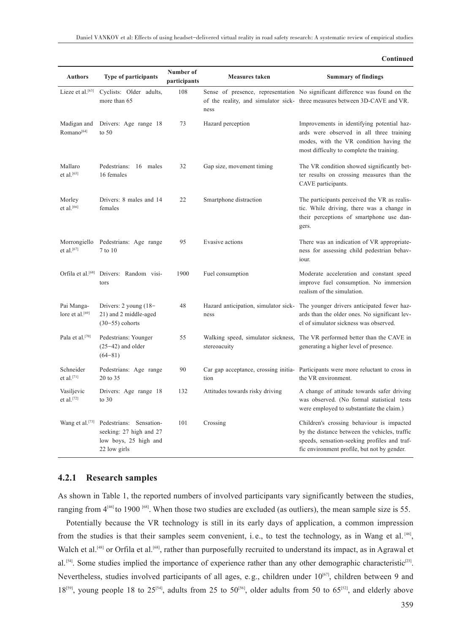|                                               |                                                                                             |                           |                                                    | Continued                                                                                                                                                                                 |
|-----------------------------------------------|---------------------------------------------------------------------------------------------|---------------------------|----------------------------------------------------|-------------------------------------------------------------------------------------------------------------------------------------------------------------------------------------------|
| <b>Authors</b>                                | <b>Type of participants</b>                                                                 | Number of<br>participants | <b>Measures taken</b>                              | <b>Summary of findings</b>                                                                                                                                                                |
| Lieze et al. <sup>[63]</sup>                  | Cyclists: Older adults,<br>more than 65                                                     | 108                       | ness                                               | Sense of presence, representation No significant difference was found on the<br>of the reality, and simulator sick- three measures between 3D-CAVE and VR.                                |
| Madigan and<br>Romano <sup>[64]</sup>         | Drivers: Age range 18<br>to $50$                                                            | 73                        | Hazard perception                                  | Improvements in identifying potential haz-<br>ards were observed in all three training<br>modes, with the VR condition having the<br>most difficulty to complete the training.            |
| Mallaro<br>et al. <sup>[65]</sup>             | Pedestrians:<br>16 males<br>16 females                                                      | 32                        | Gap size, movement timing                          | The VR condition showed significantly bet-<br>ter results on crossing measures than the<br>CAVE participants.                                                                             |
| Morley<br>et al.[66]                          | Drivers: 8 males and 14<br>females                                                          | 22                        | Smartphone distraction                             | The participants perceived the VR as realis-<br>tic. While driving, there was a change in<br>their perceptions of smartphone use dan-<br>gers.                                            |
| Morrongiello<br>et al. $^{\left[ 67\right] }$ | Pedestrians: Age range<br>7 to 10                                                           | 95                        | Evasive actions                                    | There was an indication of VR appropriate-<br>ness for assessing child pedestrian behav-<br>iour.                                                                                         |
| Orfila et al. <sup>[68]</sup>                 | Drivers: Random visi-<br>tors                                                               | 1900                      | Fuel consumption                                   | Moderate acceleration and constant speed<br>improve fuel consumption. No immersion<br>realism of the simulation.                                                                          |
| Pai Manga-<br>lore et al. <sup>[69]</sup>     | Drivers: $2$ young $(18 -$<br>21) and 2 middle-aged<br>$(30-55)$ cohorts                    | 48                        | Hazard anticipation, simulator sick-<br>ness       | The younger drivers anticipated fewer haz-<br>ards than the older ones. No significant lev-<br>el of simulator sickness was observed.                                                     |
| Pala et al. <sup>[70]</sup>                   | Pedestrians: Younger<br>$(25-42)$ and older<br>$(64 - 81)$                                  | 55                        | Walking speed, simulator sickness,<br>stereoacuity | The VR performed better than the CAVE in<br>generating a higher level of presence.                                                                                                        |
| Schneider<br>et al.[71]                       | Pedestrians: Age range<br>20 to 35                                                          | 90                        | tion                                               | Car gap acceptance, crossing initia- Participants were more reluctant to cross in<br>the VR environment.                                                                                  |
| Vasiljevic<br>et al. $[72]$                   | Drivers: Age range 18<br>to $30$                                                            | 132                       | Attitudes towards risky driving                    | A change of attitude towards safer driving<br>was observed. (No formal statistical tests<br>were employed to substantiate the claim.)                                                     |
| Wang et al. <sup>[73]</sup>                   | Pedestrians: Sensation-<br>seeking: 27 high and 27<br>low boys, 25 high and<br>22 low girls | 101                       | Crossing                                           | Children's crossing behaviour is impacted<br>by the distance between the vehicles, traffic<br>speeds, sensation-seeking profiles and traf-<br>fic environment profile, but not by gender. |

# **4.2.1 Research samples**

As shown in Table 1, the reported numbers of involved participants vary significantly between the studies, ranging from  $4^{46}$  to 1900  $^{68}$ . When those two studies are excluded (as outliers), the mean sample size is 55.

Potentially because the VR technology is still in its early days of application, a common impression from the studies is that their samples seem convenient, i.e., to test the technology, as in Wang et al.<sup>[46]</sup>, Walch et al.<sup>[48]</sup> or Orfila et al.<sup>[68]</sup>, rather than purposefully recruited to understand its impact, as in Agrawal et al.<sup>[54]</sup>. Some studies implied the importance of experience rather than any other demographic characteristic<sup>[23]</sup>. Nevertheless, studies involved participants of all ages, e.g., children under  $10^{67}$ , children between 9 and  $18^{59}$ , young people 18 to 25<sup>[54]</sup>, adults from 25 to 50<sup>[56]</sup>, older adults from 50 to 65<sup>[52]</sup>, and elderly above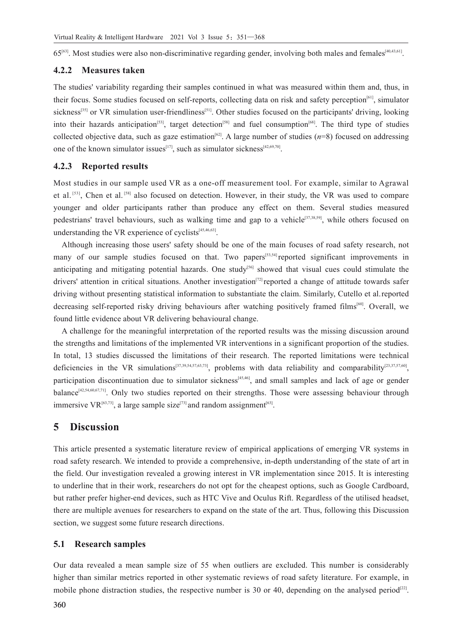$65^{63}$ . Most studies were also non-discriminative regarding gender, involving both males and females<sup>[40,43,61]</sup>.

### **4.2.2 Measures taken**

The studies' variability regarding their samples continued in what was measured within them and, thus, in their focus. Some studies focused on self-reports, collecting data on risk and safety perception<sup>[61]</sup>, simulator sickness<sup>[35]</sup> or VR simulation user-friendliness<sup>[51]</sup>. Other studies focused on the participants' driving, looking into their hazards anticipation<sup>[53]</sup>, target detection<sup>[58]</sup> and fuel consumption<sup>[68]</sup>. The third type of studies collected objective data, such as gaze estimation<sup>[62]</sup>. A large number of studies  $(n=8)$  focused on addressing one of the known simulator issues<sup>[17]</sup>, such as simulator sickness<sup>[42,69,70]</sup>.

### **4.2.3 Reported results**

Most studies in our sample used VR as a one-off measurement tool. For example, similar to Agrawal et al.<sup>[53]</sup>, Chen et al.<sup>[58]</sup> also focused on detection. However, in their study, the VR was used to compare younger and older participants rather than produce any effect on them. Several studies measured pedestrians' travel behaviours, such as walking time and gap to a vehicle<sup>[37,38,59]</sup>, while others focused on understanding the VR experience of cyclists $^{[45,46,63]}$ .

Although increasing those users' safety should be one of the main focuses of road safety research, not many of our sample studies focused on that. Two papers<sup>[53,54]</sup> reported significant improvements in anticipating and mitigating potential hazards. One study<sup>[56]</sup> showed that visual cues could stimulate the drivers' attention in critical situations. Another investigation<sup>[72]</sup> reported a change of attitude towards safer driving without presenting statistical information to substantiate the claim. Similarly, Cutello et al.reported decreasing self-reported risky driving behaviours after watching positively framed films<sup>[60]</sup>. Overall, we found little evidence about VR delivering behavioural change.

A challenge for the meaningful interpretation of the reported results was the missing discussion around the strengths and limitations of the implemented VR interventions in a significant proportion of the studies. In total, 13 studies discussed the limitations of their research. The reported limitations were technical deficiencies in the VR simulations<sup>[37,39,54,57,63,73]</sup>, problems with data reliability and comparability<sup>[23,37,57,60]</sup>, participation discontinuation due to simulator sickness<sup>[45,46]</sup>, and small samples and lack of age or gender balance<sup>[42,54,60,67,71]</sup>. Only two studies reported on their strengths. Those were assessing behaviour through immersive VR<sup>[63,73]</sup>, a large sample size<sup>[73]</sup> and random assignment<sup>[63]</sup>.

# **5 Discussion**

This article presented a systematic literature review of empirical applications of emerging VR systems in road safety research. We intended to provide a comprehensive, in-depth understanding of the state of art in the field. Our investigation revealed a growing interest in VR implementation since 2015. It is interesting to underline that in their work, researchers do not opt for the cheapest options, such as Google Cardboard, but rather prefer higher-end devices, such as HTC Vive and Oculus Rift. Regardless of the utilised headset, there are multiple avenues for researchers to expand on the state of the art. Thus, following this Discussion section, we suggest some future research directions.

## **5.1 Research samples**

Our data revealed a mean sample size of 55 when outliers are excluded. This number is considerably higher than similar metrics reported in other systematic reviews of road safety literature. For example, in mobile phone distraction studies, the respective number is 30 or 40, depending on the analysed period<sup>[22]</sup>.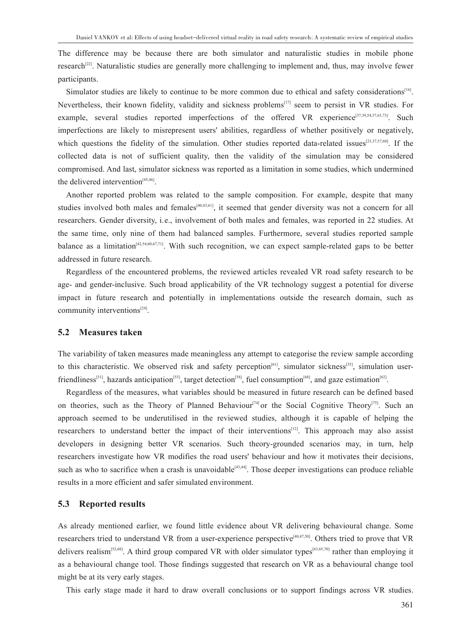The difference may be because there are both simulator and naturalistic studies in mobile phone research<sup>[22]</sup>. Naturalistic studies are generally more challenging to implement and, thus, may involve fewer participants.

Simulator studies are likely to continue to be more common due to ethical and safety considerations<sup>[16]</sup>. Nevertheless, their known fidelity, validity and sickness problems<sup>[17]</sup> seem to persist in VR studies. For example, several studies reported imperfections of the offered VR experience<sup>[37,39,54,57,63,73]</sup>. Such imperfections are likely to misrepresent users' abilities, regardless of whether positively or negatively, which questions the fidelity of the simulation. Other studies reported data-related issues<sup>[23,37,57,60]</sup>. If the collected data is not of sufficient quality, then the validity of the simulation may be considered compromised. And last, simulator sickness was reported as a limitation in some studies, which undermined the delivered intervention $[45,46]$ .

Another reported problem was related to the sample composition. For example, despite that many studies involved both males and females<sup>[40,43,61</sup>], it seemed that gender diversity was not a concern for all researchers. Gender diversity, i.e., involvement of both males and females, was reported in 22 studies. At the same time, only nine of them had balanced samples. Furthermore, several studies reported sample balance as a limitation<sup>[42,54,60,67,71]</sup>. With such recognition, we can expect sample-related gaps to be better addressed in future research.

Regardless of the encountered problems, the reviewed articles revealed VR road safety research to be age- and gender-inclusive. Such broad applicability of the VR technology suggest a potential for diverse impact in future research and potentially in implementations outside the research domain, such as community interventions $^{[24]}$ .

### **5.2 Measures taken**

The variability of taken measures made meaningless any attempt to categorise the review sample according to this characteristic. We observed risk and safety perception<sup>[61]</sup>, simulator sickness<sup>[35]</sup>, simulation userfriendliness<sup>[51]</sup>, hazards anticipation<sup>[53]</sup>, target detection<sup>[58]</sup>, fuel consumption<sup>[68]</sup>, and gaze estimation<sup>[62]</sup>.

Regardless of the measures, what variables should be measured in future research can be defined based on theories, such as the Theory of Planned Behaviour<sup>[74]</sup> or the Social Cognitive Theory<sup>[75]</sup>. Such an approach seemed to be underutilised in the reviewed studies, although it is capable of helping the researchers to understand better the impact of their interventions<sup>[12]</sup>. This approach may also assist developers in designing better VR scenarios. Such theory-grounded scenarios may, in turn, help researchers investigate how VR modifies the road users' behaviour and how it motivates their decisions, such as who to sacrifice when a crash is unavoidable  $[43,44]$ . Those deeper investigations can produce reliable results in a more efficient and safer simulated environment.

## **5.3 Reported results**

As already mentioned earlier, we found little evidence about VR delivering behavioural change. Some researchers tried to understand VR from a user-experience perspective<sup>[40,47,50]</sup>. Others tried to prove that VR delivers realism<sup>[52,68]</sup>. A third group compared VR with older simulator types<sup>[63,65,70]</sup> rather than employing it as a behavioural change tool. Those findings suggested that research on VR as a behavioural change tool might be at its very early stages.

This early stage made it hard to draw overall conclusions or to support findings across VR studies.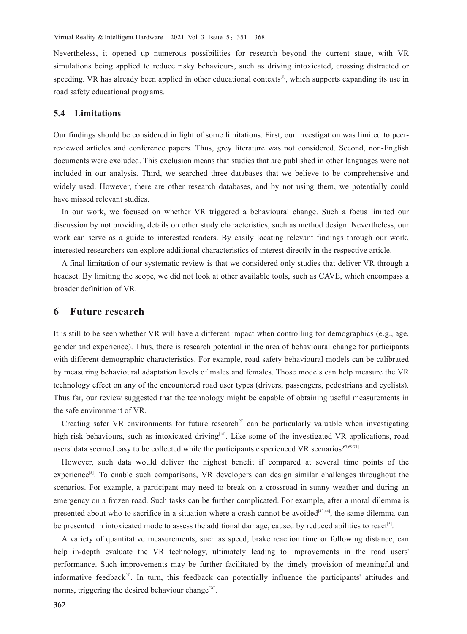Nevertheless, it opened up numerous possibilities for research beyond the current stage, with VR simulations being applied to reduce risky behaviours, such as driving intoxicated, crossing distracted or speeding. VR has already been applied in other educational contexts<sup>[3]</sup>, which supports expanding its use in road safety educational programs.

## **5.4 Limitations**

Our findings should be considered in light of some limitations. First, our investigation was limited to peerreviewed articles and conference papers. Thus, grey literature was not considered. Second, non-English documents were excluded. This exclusion means that studies that are published in other languages were not included in our analysis. Third, we searched three databases that we believe to be comprehensive and widely used. However, there are other research databases, and by not using them, we potentially could have missed relevant studies.

In our work, we focused on whether VR triggered a behavioural change. Such a focus limited our discussion by not providing details on other study characteristics, such as method design. Nevertheless, our work can serve as a guide to interested readers. By easily locating relevant findings through our work, interested researchers can explore additional characteristics of interest directly in the respective article.

A final limitation of our systematic review is that we considered only studies that deliver VR through a headset. By limiting the scope, we did not look at other available tools, such as CAVE, which encompass a broader definition of VR.

# **6 Future research**

It is still to be seen whether VR will have a different impact when controlling for demographics (e.g., age, gender and experience). Thus, there is research potential in the area of behavioural change for participants with different demographic characteristics. For example, road safety behavioural models can be calibrated by measuring behavioural adaptation levels of males and females. Those models can help measure the VR technology effect on any of the encountered road user types (drivers, passengers, pedestrians and cyclists). Thus far, our review suggested that the technology might be capable of obtaining useful measurements in the safe environment of VR.

Creating safer VR environments for future research<sup>[5]</sup> can be particularly valuable when investigating high-risk behaviours, such as intoxicated driving<sup>[10]</sup>. Like some of the investigated VR applications, road users' data seemed easy to be collected while the participants experienced VR scenarios<sup>[67,69,71]</sup>.

However, such data would deliver the highest benefit if compared at several time points of the experience<sup>[5]</sup>. To enable such comparisons, VR developers can design similar challenges throughout the scenarios. For example, a participant may need to break on a crossroad in sunny weather and during an emergency on a frozen road. Such tasks can be further complicated. For example, after a moral dilemma is presented about who to sacrifice in a situation where a crash cannot be avoided  $[43,44]$ , the same dilemma can be presented in intoxicated mode to assess the additional damage, caused by reduced abilities to react<sup>[5]</sup>.

A variety of quantitative measurements, such as speed, brake reaction time or following distance, can help in-depth evaluate the VR technology, ultimately leading to improvements in the road users' performance. Such improvements may be further facilitated by the timely provision of meaningful and informative feedback<sup>[5]</sup>. In turn, this feedback can potentially influence the participants' attitudes and norms, triggering the desired behaviour change<sup>[76]</sup>.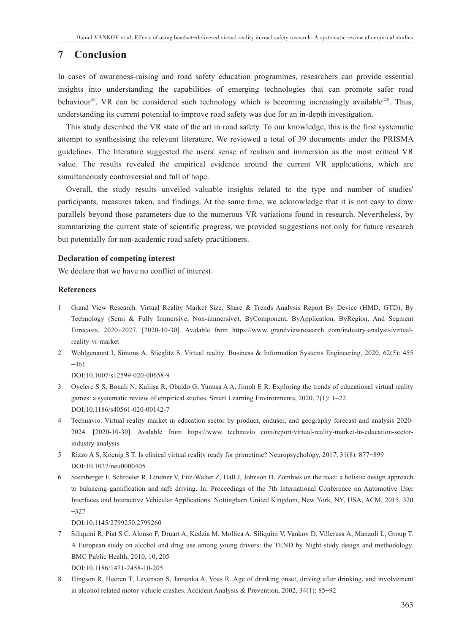# **7 Conclusion**

In cases of awareness-raising and road safety education programmes, researchers can provide essential insights into understanding the capabilities of emerging technologies that can promote safer road behaviour<sup>[6]</sup>. VR can be considered such technology which is becoming increasingly available<sup>[23]</sup>. Thus, understanding its current potential to improve road safety was due for an in-depth investigation.

This study described the VR state of the art in road safety. To our knowledge, this is the first systematic attempt to synthesising the relevant literature. We reviewed a total of 39 documents under the PRISMA guidelines. The literature suggested the users' sense of realism and immersion as the most critical VR value. The results revealed the empirical evidence around the current VR applications, which are simultaneously controversial and full of hope.

Overall, the study results unveiled valuable insights related to the type and number of studies' participants, measures taken, and findings. At the same time, we acknowledge that it is not easy to draw parallels beyond those parameters due to the numerous VR variations found in research. Nevertheless, by summarizing the current state of scientific progress, we provided suggestions not only for future research but potentially for non-academic road safety practitioners.

### **Declaration of competing interest**

We declare that we have no conflict of interest.

### **References**

- 1 Grand View Research. Virtual Reality Market Size, Share & Trends Analysis Report By Device (HMD, GTD), By Technology (Semi & Fully Immersive, Non-immersive), ByComponent, ByApplication, ByRegion, And Segment Forecasts, 2020-2027. [2020-10-30]. Avalable from https://www. grandviewresearch. com/industry-analysis/virtualreality-vr-market
- 2 Wohlgenannt I, Simons A, Stieglitz S. Virtual reality. Business & Information Systems Engineering, 2020, 62(5): 455 –461

DOI:10.1007/s12599-020-00658-9

- 3 Oyelere S S, Bouali N, Kaliisa R, Obaido G, Yunusa A A, Jimoh E R. Exploring the trends of educational virtual reality games: a systematic review of empirical studies. Smart Learning Environments, 2020, 7(1): 1–22 DOI:10.1186/s40561-020-00142-7
- 4 Technavio. Virtual reality market in education sector by product, enduser, and geography forecast and analysis 2020- 2024. [2020-10-30]. Avalable from https://www. technavio. com/report/virtual-reality-market-in-education-sectorindustry-analysis
- 5 Rizzo A S, Koenig S T. Is clinical virtual reality ready for primetime? Neuropsychology, 2017, 31(8): 877–899 DOI:10.1037/neu0000405
- 6 Steinberger F, Schroeter R, Lindner V, Fitz-Walter Z, Hall J, Johnson D. Zombies on the road: a holistic design approach to balancing gamification and safe driving. In: Proceedings of the 7th International Conference on Automotive User Interfaces and Interactive Vehicular Applications. Nottingham United Kingdom, New York, NY, USA, ACM, 2015, 320 –327

DOI:10.1145/2799250.2799260

7 Siliquini R, Piat S C, Alonso F, Druart A, Kedzia M, Mollica A, Siliquini V, Vankov D, Villerusa A, Manzoli L, Group T. A European study on alcohol and drug use among young drivers: the TEND by Night study design and methodology. BMC Public Health, 2010, 10, 205

DOI:10.1186/1471-2458-10-205

8 Hingson R, Heeren T, Levenson S, Jamanka A, Voas R. Age of drinking onset, driving after drinking, and involvement in alcohol related motor-vehicle crashes. Accident Analysis & Prevention, 2002, 34(1): 85–92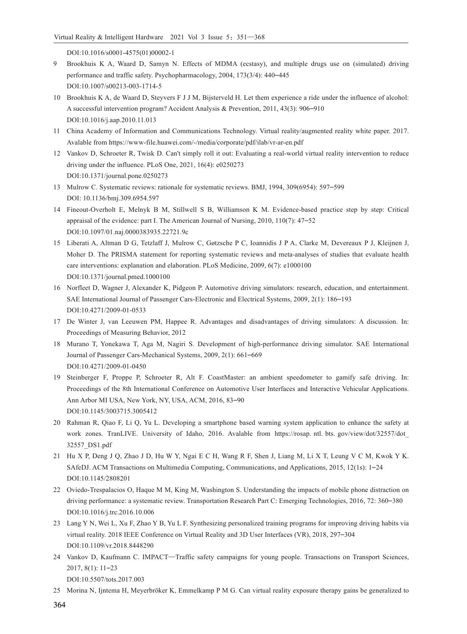DOI:10.1016/s0001-4575(01)00002-1

- 9 Brookhuis K A, Waard D, Samyn N. Effects of MDMA (ecstasy), and multiple drugs use on (simulated) driving performance and traffic safety. Psychopharmacology, 2004, 173(3/4): 440–445 DOI:10.1007/s00213-003-1714-5
- 10 Brookhuis K A, de Waard D, Steyvers F J J M, Bijsterveld H. Let them experience a ride under the influence of alcohol: A successful intervention program? Accident Analysis & Prevention, 2011, 43(3): 906–910 DOI:10.1016/j.aap.2010.11.013
- 11 China Academy of Information and Communications Technology. Virtual reality/augmented reality white paper. 2017. Avalable from https://www-file.huawei.com/-/media/corporate/pdf/ilab/vr-ar-en.pdf
- 12 Vankov D, Schroeter R, Twisk D. Can't simply roll it out: Evaluating a real-world virtual reality intervention to reduce driving under the influence. PLoS One, 2021, 16(4): e0250273 DOI:10.1371/journal.pone.0250273
- 13 Mulrow C. Systematic reviews: rationale for systematic reviews. BMJ, 1994, 309(6954): 597–599 DOI: 10.1136/bmj.309.6954.597
- 14 Fineout-Overholt E, Melnyk B M, Stillwell S B, Williamson K M. Evidence-based practice step by step: Critical appraisal of the evidence: part I. The American Journal of Nursing, 2010, 110(7): 47–52 DOI:10.1097/01.naj.0000383935.22721.9c
- 15 Liberati A, Altman D G, Tetzlaff J, Mulrow C, Gøtzsche P C, Ioannidis J P A, Clarke M, Devereaux P J, Kleijnen J, Moher D. The PRISMA statement for reporting systematic reviews and meta-analyses of studies that evaluate health care interventions: explanation and elaboration. PLoS Medicine, 2009, 6(7): e1000100 DOI:10.1371/journal.pmed.1000100
- 16 Norfleet D, Wagner J, Alexander K, Pidgeon P. Automotive driving simulators: research, education, and entertainment. SAE International Journal of Passenger Cars-Electronic and Electrical Systems, 2009, 2(1): 186–193 DOI:10.4271/2009-01-0533
- 17 De Winter J, van Leeuwen PM, Happee R. Advantages and disadvantages of driving simulators: A discussion. In: Proceedings of Measuring Behavior, 2012
- 18 Murano T, Yonekawa T, Aga M, Nagiri S. Development of high-performance driving simulator. SAE International Journal of Passenger Cars-Mechanical Systems, 2009, 2(1): 661–669 DOI:10.4271/2009-01-0450
- 19 Steinberger F, Proppe P, Schroeter R, Alt F. CoastMaster: an ambient speedometer to gamify safe driving. In: Proceedings of the 8th International Conference on Automotive User Interfaces and Interactive Vehicular Applications. Ann Arbor MI USA, New York, NY, USA, ACM, 2016, 83–90 DOI:10.1145/3003715.3005412
- 20 Rahman R, Qiao F, Li Q, Yu L. Developing a smartphone based warning system application to enhance the safety at work zones. TranLIVE. University of Idaho, 2016. Avalable from https://rosap. ntl. bts. gov/view/dot/32557/dot\_ 32557\_DS1.pdf
- 21 Hu X P, Deng J Q, Zhao J D, Hu W Y, Ngai E C H, Wang R F, Shen J, Liang M, Li X T, Leung V C M, Kwok Y K. SAfeDJ. ACM Transactions on Multimedia Computing, Communications, and Applications, 2015, 12(1s): 1–24 DOI:10.1145/2808201
- 22 Oviedo-Trespalacios O, Haque M M, King M, Washington S. Understanding the impacts of mobile phone distraction on driving performance: a systematic review. Transportation Research Part C: Emerging Technologies, 2016, 72: 360–380 DOI:10.1016/j.trc.2016.10.006
- 23 Lang Y N, Wei L, Xu F, Zhao Y B, Yu L F. Synthesizing personalized training programs for improving driving habits via virtual reality. 2018 IEEE Conference on Virtual Reality and 3D User Interfaces (VR), 2018, 297–304 DOI:10.1109/vr.2018.8448290
- 24 Vankov D, Kaufmann C. IMPACT—Traffic safety campaigns for young people. Transactions on Transport Sciences, 2017, 8(1): 11–23 DOI:10.5507/tots.2017.003
- 25 Morina N, Ijntema H, Meyerbröker K, Emmelkamp P M G. Can virtual reality exposure therapy gains be generalized to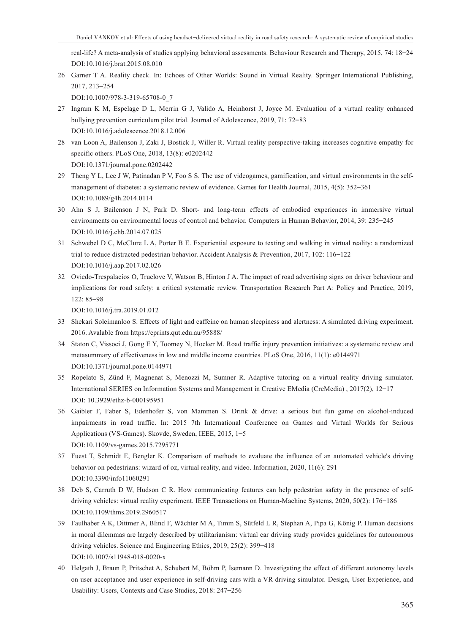real-life? A meta-analysis of studies applying behavioral assessments. Behaviour Research and Therapy, 2015, 74: 18–24 DOI:10.1016/j.brat.2015.08.010

26 Garner T A. Reality check. In: Echoes of Other Worlds: Sound in Virtual Reality. Springer International Publishing, 2017, 213–254

DOI:10.1007/978-3-319-65708-0\_7

- 27 Ingram K M, Espelage D L, Merrin G J, Valido A, Heinhorst J, Joyce M. Evaluation of a virtual reality enhanced bullying prevention curriculum pilot trial. Journal of Adolescence, 2019, 71: 72–83 DOI:10.1016/j.adolescence.2018.12.006
- 28 van Loon A, Bailenson J, Zaki J, Bostick J, Willer R. Virtual reality perspective-taking increases cognitive empathy for specific others. PLoS One, 2018, 13(8): e0202442 DOI:10.1371/journal.pone.0202442
- 29 Theng Y L, Lee J W, Patinadan P V, Foo S S. The use of videogames, gamification, and virtual environments in the selfmanagement of diabetes: a systematic review of evidence. Games for Health Journal, 2015, 4(5): 352–361 DOI:10.1089/g4h.2014.0114
- 30 Ahn S J, Bailenson J N, Park D. Short- and long-term effects of embodied experiences in immersive virtual environments on environmental locus of control and behavior. Computers in Human Behavior, 2014, 39: 235–245 DOI:10.1016/j.chb.2014.07.025
- 31 Schwebel D C, McClure L A, Porter B E. Experiential exposure to texting and walking in virtual reality: a randomized trial to reduce distracted pedestrian behavior. Accident Analysis & Prevention, 2017, 102: 116–122 DOI:10.1016/j.aap.2017.02.026
- 32 Oviedo-Trespalacios O, Truelove V, Watson B, Hinton J A. The impact of road advertising signs on driver behaviour and implications for road safety: a critical systematic review. Transportation Research Part A: Policy and Practice, 2019, 122: 85–98

DOI:10.1016/j.tra.2019.01.012

- 33 Shekari Soleimanloo S. Effects of light and caffeine on human sleepiness and alertness: A simulated driving experiment. 2016. Avalable from https://eprints.qut.edu.au/95888/
- 34 Staton C, Vissoci J, Gong E Y, Toomey N, Hocker M. Road traffic injury prevention initiatives: a systematic review and metasummary of effectiveness in low and middle income countries. PLoS One, 2016, 11(1): e0144971 DOI:10.1371/journal.pone.0144971
- 35 Ropelato S, Zünd F, Magnenat S, Menozzi M, Sumner R. Adaptive tutoring on a virtual reality driving simulator. International SERIES on Information Systems and Management in Creative EMedia (CreMedia) , 2017(2), 12–17 DOI: 10.3929/ethz-b-000195951
- 36 Gaibler F, Faber S, Edenhofer S, von Mammen S. Drink & drive: a serious but fun game on alcohol-induced impairments in road traffic. In: 2015 7th International Conference on Games and Virtual Worlds for Serious Applications (VS-Games). Skovde, Sweden, IEEE, 2015, 1–5 DOI:10.1109/vs-games.2015.7295771
- 37 Fuest T, Schmidt E, Bengler K. Comparison of methods to evaluate the influence of an automated vehicle's driving behavior on pedestrians: wizard of oz, virtual reality, and video. Information, 2020, 11(6): 291 DOI:10.3390/info11060291
- 38 Deb S, Carruth D W, Hudson C R. How communicating features can help pedestrian safety in the presence of selfdriving vehicles: virtual reality experiment. IEEE Transactions on Human-Machine Systems, 2020, 50(2): 176–186 DOI:10.1109/thms.2019.2960517
- 39 Faulhaber A K, Dittmer A, Blind F, Wächter M A, Timm S, Sütfeld L R, Stephan A, Pipa G, König P. Human decisions in moral dilemmas are largely described by utilitarianism: virtual car driving study provides guidelines for autonomous driving vehicles. Science and Engineering Ethics, 2019, 25(2): 399–418 DOI:10.1007/s11948-018-0020-x
- 40 Helgath J, Braun P, Pritschet A, Schubert M, Böhm P, Isemann D. Investigating the effect of different autonomy levels on user acceptance and user experience in self-driving cars with a VR driving simulator. Design, User Experience, and Usability: Users, Contexts and Case Studies, 2018: 247–256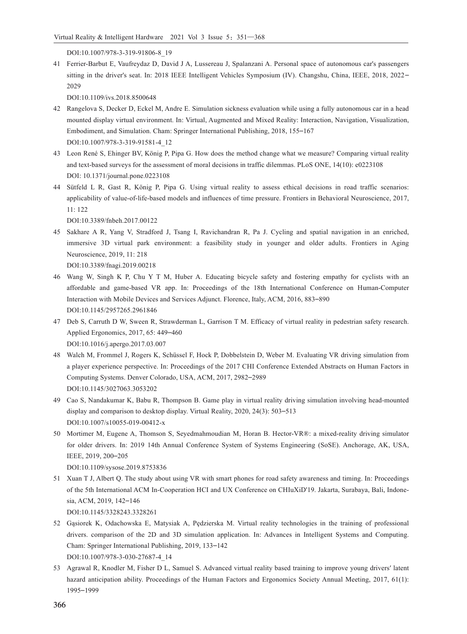DOI:10.1007/978-3-319-91806-8\_19

41 Ferrier-Barbut E, Vaufreydaz D, David J A, Lussereau J, Spalanzani A. Personal space of autonomous car's passengers sitting in the driver's seat. In: 2018 IEEE Intelligent Vehicles Symposium (IV). Changshu, China, IEEE, 2018, 2022– 2029

DOI:10.1109/ivs.2018.8500648

- 42 Rangelova S, Decker D, Eckel M, Andre E. Simulation sickness evaluation while using a fully autonomous car in a head mounted display virtual environment. In: Virtual, Augmented and Mixed Reality: Interaction, Navigation, Visualization, Embodiment, and Simulation. Cham: Springer International Publishing, 2018, 155–167 DOI:10.1007/978-3-319-91581-4\_12
- 43 Leon René S, Ehinger BV, König P, Pipa G. How does the method change what we measure? Comparing virtual reality and text-based surveys for the assessment of moral decisions in traffic dilemmas. PLoS ONE, 14(10): e0223108 DOI: 10.1371/journal.pone.0223108
- 44 Sütfeld L R, Gast R, König P, Pipa G. Using virtual reality to assess ethical decisions in road traffic scenarios: applicability of value-of-life-based models and influences of time pressure. Frontiers in Behavioral Neuroscience, 2017, 11: 122

DOI:10.3389/fnbeh.2017.00122

45 Sakhare A R, Yang V, Stradford J, Tsang I, Ravichandran R, Pa J. Cycling and spatial navigation in an enriched, immersive 3D virtual park environment: a feasibility study in younger and older adults. Frontiers in Aging Neuroscience, 2019, 11: 218

DOI:10.3389/fnagi.2019.00218

- 46 Wang W, Singh K P, Chu Y T M, Huber A. Educating bicycle safety and fostering empathy for cyclists with an affordable and game-based VR app. In: Proceedings of the 18th International Conference on Human-Computer Interaction with Mobile Devices and Services Adjunct. Florence, Italy, ACM, 2016, 883–890 DOI:10.1145/2957265.2961846
- 47 Deb S, Carruth D W, Sween R, Strawderman L, Garrison T M. Efficacy of virtual reality in pedestrian safety research. Applied Ergonomics, 2017, 65: 449–460 DOI:10.1016/j.apergo.2017.03.007
- 48 Walch M, Frommel J, Rogers K, Schüssel F, Hock P, Dobbelstein D, Weber M. Evaluating VR driving simulation from a player experience perspective. In: Proceedings of the 2017 CHI Conference Extended Abstracts on Human Factors in Computing Systems. Denver Colorado, USA, ACM, 2017, 2982–2989 DOI:10.1145/3027063.3053202
- 49 Cao S, Nandakumar K, Babu R, Thompson B. Game play in virtual reality driving simulation involving head-mounted display and comparison to desktop display. Virtual Reality, 2020, 24(3): 503–513 DOI:10.1007/s10055-019-00412-x
- 50 Mortimer M, Eugene A, Thomson S, Seyedmahmoudian M, Horan B. Hector-VR®: a mixed-reality driving simulator for older drivers. In: 2019 14th Annual Conference System of Systems Engineering (SoSE). Anchorage, AK, USA, IEEE, 2019, 200–205

DOI:10.1109/sysose.2019.8753836

- 51 Xuan T J, Albert Q. The study about using VR with smart phones for road safety awareness and timing. In: Proceedings of the 5th International ACM In-Cooperation HCI and UX Conference on CHIuXiD'19. Jakarta, Surabaya, Bali, Indone‐ sia, ACM, 2019, 142–146 DOI:10.1145/3328243.3328261
- 52 Gąsiorek K, Odachowska E, Matysiak A, Pędzierska M. Virtual reality technologies in the training of professional drivers. comparison of the 2D and 3D simulation application. In: Advances in Intelligent Systems and Computing. Cham: Springer International Publishing, 2019, 133–142 DOI:10.1007/978-3-030-27687-4\_14
- 53 Agrawal R, Knodler M, Fisher D L, Samuel S. Advanced virtual reality based training to improve young drivers′ latent hazard anticipation ability. Proceedings of the Human Factors and Ergonomics Society Annual Meeting, 2017, 61(1): 1995–1999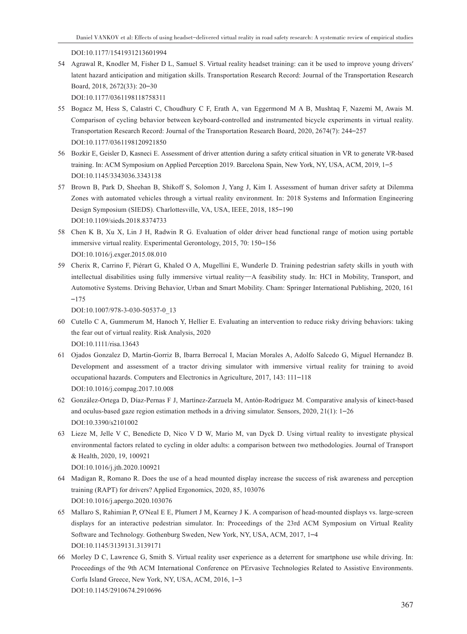DOI:10.1177/1541931213601994

54 Agrawal R, Knodler M, Fisher D L, Samuel S. Virtual reality headset training: can it be used to improve young drivers′ latent hazard anticipation and mitigation skills. Transportation Research Record: Journal of the Transportation Research Board, 2018, 2672(33): 20–30

DOI:10.1177/0361198118758311

- 55 Bogacz M, Hess S, Calastri C, Choudhury C F, Erath A, van Eggermond M A B, Mushtaq F, Nazemi M, Awais M. Comparison of cycling behavior between keyboard-controlled and instrumented bicycle experiments in virtual reality. Transportation Research Record: Journal of the Transportation Research Board, 2020, 2674(7): 244–257 DOI:10.1177/0361198120921850
- 56 Bozkir E, Geisler D, Kasneci E. Assessment of driver attention during a safety critical situation in VR to generate VR-based training. In: ACM Symposium on Applied Perception 2019. Barcelona Spain, New York, NY, USA, ACM, 2019, 1–5 DOI:10.1145/3343036.3343138
- 57 Brown B, Park D, Sheehan B, Shikoff S, Solomon J, Yang J, Kim I. Assessment of human driver safety at Dilemma Zones with automated vehicles through a virtual reality environment. In: 2018 Systems and Information Engineering Design Symposium (SIEDS). Charlottesville, VA, USA, IEEE, 2018, 185–190 DOI:10.1109/sieds.2018.8374733
- 58 Chen K B, Xu X, Lin J H, Radwin R G. Evaluation of older driver head functional range of motion using portable immersive virtual reality. Experimental Gerontology, 2015, 70: 150–156 DOI:10.1016/j.exger.2015.08.010
- 59 Cherix R, Carrino F, Piérart G, Khaled O A, Mugellini E, Wunderle D. Training pedestrian safety skills in youth with intellectual disabilities using fully immersive virtual reality—A feasibility study. In: HCI in Mobility, Transport, and Automotive Systems. Driving Behavior, Urban and Smart Mobility. Cham: Springer International Publishing, 2020, 161 –175

DOI:10.1007/978-3-030-50537-0\_13

- 60 Cutello C A, Gummerum M, Hanoch Y, Hellier E. Evaluating an intervention to reduce risky driving behaviors: taking the fear out of virtual reality. Risk Analysis, 2020 DOI:10.1111/risa.13643
- 61 Ojados Gonzalez D, Martin-Gorriz B, Ibarra Berrocal I, Macian Morales A, Adolfo Salcedo G, Miguel Hernandez B. Development and assessment of a tractor driving simulator with immersive virtual reality for training to avoid occupational hazards. Computers and Electronics in Agriculture, 2017, 143: 111–118 DOI:10.1016/j.compag.2017.10.008
- 62 González-Ortega D, Díaz-Pernas F J, Martínez-Zarzuela M, Antón-Rodríguez M. Comparative analysis of kinect-based and oculus-based gaze region estimation methods in a driving simulator. Sensors, 2020, 21(1): 1–26 DOI:10.3390/s2101002
- 63 Lieze M, Jelle V C, Benedicte D, Nico V D W, Mario M, van Dyck D. Using virtual reality to investigate physical environmental factors related to cycling in older adults: a comparison between two methodologies. Journal of Transport & Health, 2020, 19, 100921

DOI:10.1016/j.jth.2020.100921

- 64 Madigan R, Romano R. Does the use of a head mounted display increase the success of risk awareness and perception training (RAPT) for drivers? Applied Ergonomics, 2020, 85, 103076 DOI:10.1016/j.apergo.2020.103076
- 65 Mallaro S, Rahimian P, O'Neal E E, Plumert J M, Kearney J K. A comparison of head-mounted displays vs. large-screen displays for an interactive pedestrian simulator. In: Proceedings of the 23rd ACM Symposium on Virtual Reality Software and Technology. Gothenburg Sweden, New York, NY, USA, ACM, 2017, 1–4 DOI:10.1145/3139131.3139171
- 66 Morley D C, Lawrence G, Smith S. Virtual reality user experience as a deterrent for smartphone use while driving. In: Proceedings of the 9th ACM International Conference on PErvasive Technologies Related to Assistive Environments. Corfu Island Greece, New York, NY, USA, ACM, 2016, 1–3 DOI:10.1145/2910674.2910696